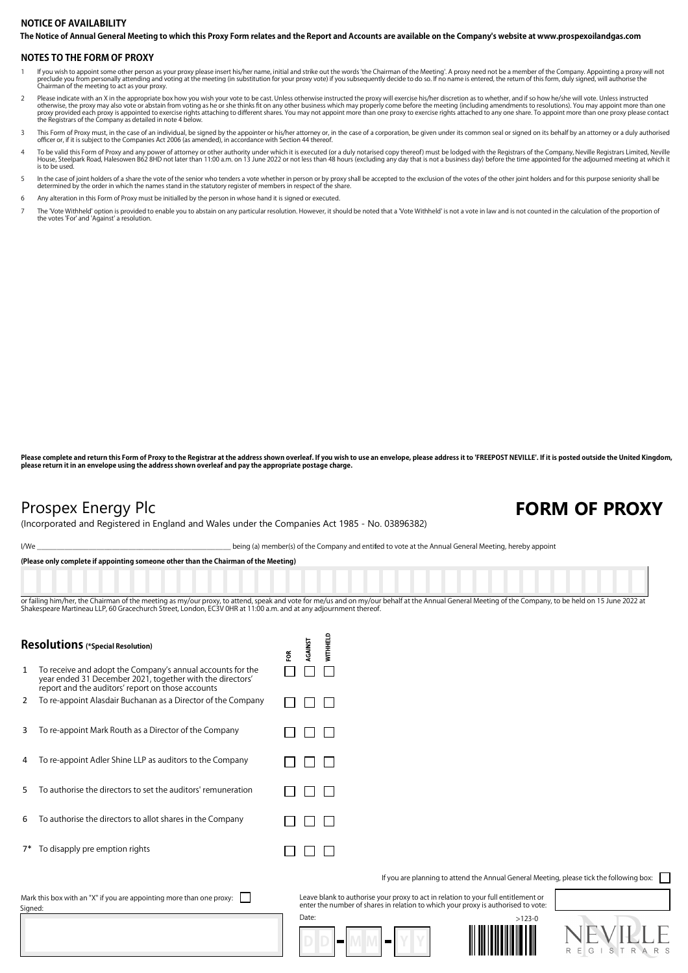## **The Notice of Annual General Meeting to which this Proxy Form relates and the Report and Accounts are available on the Company's website at www.prospexoilandgas.com NOTICE OF AVAILABILITY**

### **NOTES TO THE FORM OF PROXY**

- lf you wish to appoint some other person as your proxy please insert his/her name, initial and strike out the words 'the Chairman of the Meeting'. A proxy need not be a member of the Company. Appointing a proxy will not th preclude you from personally accoming and v<br>Chairman of the meeting to act as your proxy.
- Please indicate with an X in the appropriate box how you wish your vote to be cast. Unless otherwise instructed the proxy will exercise his/her discretion as to whether, and if so how he/she will vote. Unless instructed<br>ot
- 3 This Form of Proxy must, in the case of an individual, be signed by the appointer or his/her attorney or, in the case of a corporation, be given under its common seal or signed on its behalf by an attorney or a duly auth
- To be valid this Form of Proxy and any power of attorney or other authority under which it is executed (or a duly notarised copy thereof) must be lodged with the Registrars of the Company, Neville Registrars Limited, Nevil is to be used.
- In the case of joint holders of a share the vote of the senior who tenders a vote whether in person or by proxy shall be accepted to the exclusion of the votes of the other joint holders and for this purpose seniority shal
- 6 Any alteration in this Form of Proxy must be initialled by the person in whose hand it is signed or executed.
- The 'Vote Withheld' option is provided to enable you to abstain on any particular resolution. However, it should be noted that a 'Vote Withheld' is not a vote in law and is not counted in the calculation of the proportion the votes 'For' and 'Against' a resolution.

Please complete and return this Form of Proxy to the Registrar at the address shown overleaf. If you wish to use an envelope, please address it to 'FREEPOST NEVILLE'. If it is posted outside the United Kingdom, **please return it in an envelope using the address shown overleaf and pay the appropriate postage charge.**

Signed:

## Prospex Energy Plc **FORM OF PROXY**

(Incorporated and Registered in England and Wales under the Companies Act 1985 - No. 03896382)

I/We state of the Company and entitled to vote at the Annual General Meeting, hereby appoint

**(Please only complete if appointing someone other than the Chairman of the Meeting)**

or failing him/her, the Chairman of the meeting as my/our proxy, to attend, speak and yote for me/us and on my/our behalf at the Annual General Meeting of the Company, to be held on 15 June 2022 at Shakespeare Martineau LLP, 60 Gracechurch Street, London, EC3V 0HR at 11:00 a.m. and at any adjournment thereof.

| Resolutions (*Special Resolution)                                                   |                                                                                                                                                                              | Ĕ | <b>RGAINST</b> | <b>WITHHELD</b> |
|-------------------------------------------------------------------------------------|------------------------------------------------------------------------------------------------------------------------------------------------------------------------------|---|----------------|-----------------|
| $\mathbf{1}$                                                                        | To receive and adopt the Company's annual accounts for the<br>year ended 31 December 2021, together with the directors'<br>report and the auditors' report on those accounts |   |                |                 |
| 2                                                                                   | To re-appoint Alasdair Buchanan as a Director of the Company                                                                                                                 |   |                |                 |
| 3                                                                                   | To re-appoint Mark Routh as a Director of the Company                                                                                                                        |   |                |                 |
| 4                                                                                   | To re-appoint Adler Shine LLP as auditors to the Company                                                                                                                     |   |                |                 |
| 5                                                                                   | To authorise the directors to set the auditors' remuneration                                                                                                                 |   |                |                 |
| 6                                                                                   | To authorise the directors to allot shares in the Company                                                                                                                    |   |                |                 |
| $7*$                                                                                | To disapply pre emption rights                                                                                                                                               |   |                |                 |
| Leave blank<br>Mark this box with an "X" if you are appointing more than one proxy: |                                                                                                                                                                              |   |                |                 |

If you are planning to attend the Annual General Meeting, please tick the following box:

Leave blank to authorise your proxy to act in relation to your full entitlement or enter the number of shares in relation to which your proxy is authorised to vote: Date: